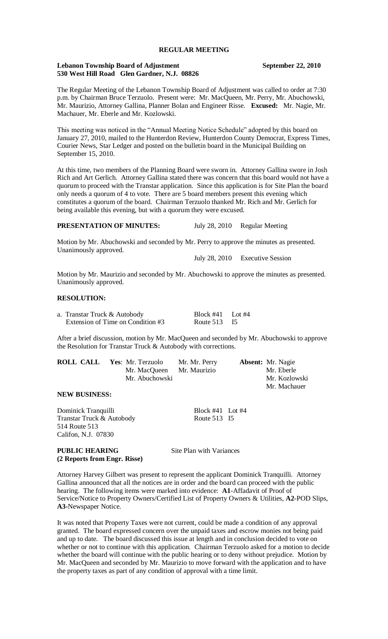#### **REGULAR MEETING**

#### **Lebanon Township Board of Adjustment September 22, 2010 530 West Hill Road Glen Gardner, N.J. 08826**

The Regular Meeting of the Lebanon Township Board of Adjustment was called to order at 7:30 p.m. by Chairman Bruce Terzuolo. Present were: Mr. MacQueen, Mr. Perry, Mr. Abuchowski, Mr. Maurizio, Attorney Gallina, Planner Bolan and Engineer Risse. **Excused:** Mr. Nagie, Mr. Machauer, Mr. Eberle and Mr. Kozlowski.

This meeting was noticed in the "Annual Meeting Notice Schedule" adopted by this board on January 27, 2010, mailed to the Hunterdon Review, Hunterdon County Democrat, Express Times, Courier News, Star Ledger and posted on the bulletin board in the Municipal Building on September 15, 2010.

At this time, two members of the Planning Board were sworn in. Attorney Gallina swore in Josh Rich and Art Gerlich. Attorney Gallina stated there was concern that this board would not have a quorum to proceed with the Transtar application. Since this application is for Site Plan the board only needs a quorum of 4 to vote. There are 5 board members present this evening which constitutes a quorum of the board. Chairman Terzuolo thanked Mr. Rich and Mr. Gerlich for being available this evening, but with a quorum they were excused.

**PRESENTATION OF MINUTES:** July 28, 2010 Regular Meeting

Motion by Mr. Abuchowski and seconded by Mr. Perry to approve the minutes as presented. Unanimously approved.

July 28, 2010 Executive Session

Motion by Mr. Maurizio and seconded by Mr. Abuchowski to approve the minutes as presented. Unanimously approved.

#### **RESOLUTION:**

| a. Transtar Truck & Autobody      | Block $#41$ Lot $#4$ |  |
|-----------------------------------|----------------------|--|
| Extension of Time on Condition #3 | Route $513$ I5       |  |

After a brief discussion, motion by Mr. MacQueen and seconded by Mr. Abuchowski to approve the Resolution for Transtar Truck & Autobody with corrections.

| ROLL CALL | Yes: Mr. Terzuolo         | Mr. Mr. Perry | <b>Absent:</b> Mr. Nagie |
|-----------|---------------------------|---------------|--------------------------|
|           | Mr. MacQueen Mr. Maurizio |               | Mr. Eberle               |
|           | Mr. Abuchowski            |               | Mr. Kozlowski            |
|           |                           |               | Mr. Machauer             |

**NEW BUSINESS:**

Dominick Tranquilli<br>
Transtar Truck & Autobody<br>
Route 513 I5 Transtar Truck & Autobody 514 Route 513 Califon, N.J. 07830

**PUBLIC HEARING** Site Plan with Variances **(2 Reports from Engr. Risse)**

Attorney Harvey Gilbert was present to represent the applicant Dominick Tranquilli. Attorney Gallina announced that all the notices are in order and the board can proceed with the public hearing. The following items were marked into evidence: **A1**-Affadavit of Proof of Service/Notice to Property Owners/Certified List of Property Owners & Utilities, **A2**-POD Slips, **A3-**Newspaper Notice.

It was noted that Property Taxes were not current, could be made a condition of any approval granted. The board expressed concern over the unpaid taxes and escrow monies not being paid and up to date. The board discussed this issue at length and in conclusion decided to vote on whether or not to continue with this application. Chairman Terzuolo asked for a motion to decide whether the board will continue with the public hearing or to deny without prejudice. Motion by Mr. MacQueen and seconded by Mr. Maurizio to move forward with the application and to have the property taxes as part of any condition of approval with a time limit.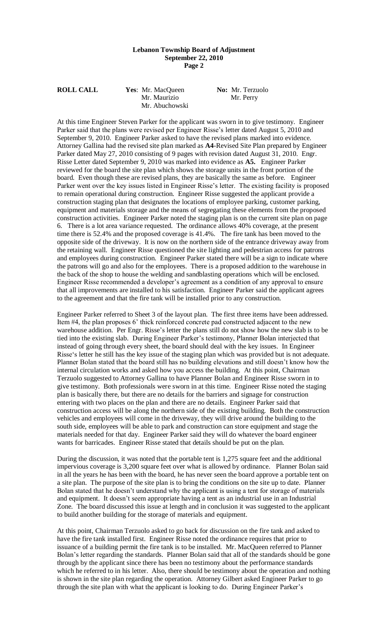### **Lebanon Township Board of Adjustment September 22, 2010 Page 2**

| <b>ROLL CALL</b> | Yes: Mr. MacQueen | <b>No:</b> Mr. Terzuolo |
|------------------|-------------------|-------------------------|
|                  | Mr. Maurizio      | Mr. Perry               |
|                  | Mr. Abuchowski    |                         |

At this time Engineer Steven Parker for the applicant was sworn in to give testimony. Engineer Parker said that the plans were revised per Engineer Risse"s letter dated August 5, 2010 and September 9, 2010. Engineer Parker asked to have the revised plans marked into evidence. Attorney Gallina had the revised site plan marked as **A4**-Revised Site Plan prepared by Engineer Parker dated May 27, 2010 consisting of 9 pages with revision dated August 31, 2010. Engr. Risse Letter dated September 9, 2010 was marked into evidence as **A5.** Engineer Parker reviewed for the board the site plan which shows the storage units in the front portion of the board. Even though these are revised plans, they are basically the same as before. Engineer Parker went over the key issues listed in Engineer Risse"s letter. The existing facility is proposed to remain operational during construction. Engineer Risse suggested the applicant provide a construction staging plan that designates the locations of employee parking, customer parking, equipment and materials storage and the means of segregating these elements from the proposed construction activities. Engineer Parker noted the staging plan is on the current site plan on page 6. There is a lot area variance requested. The ordinance allows 40% coverage, at the present time there is 52.4% and the proposed coverage is 41.4%. The fire tank has been moved to the opposite side of the driveway. It is now on the northern side of the entrance driveway away from the retaining wall. Engineer Risse questioned the site lighting and pedestrian access for patrons and employees during construction. Engineer Parker stated there will be a sign to indicate where the patrons will go and also for the employees. There is a proposed addition to the warehouse in the back of the shop to house the welding and sandblasting operations which will be enclosed. Engineer Risse recommended a developer"s agreement as a condition of any approval to ensure that all improvements are installed to his satisfaction. Engineer Parker said the applicant agrees to the agreement and that the fire tank will be installed prior to any construction.

Engineer Parker referred to Sheet 3 of the layout plan. The first three items have been addressed. Item #4, the plan proposes 6" thick reinforced concrete pad constructed adjacent to the new warehouse addition. Per Engr. Risse's letter the plans still do not show how the new slab is to be tied into the existing slab. During Engineer Parker"s testimony, Planner Bolan interjected that instead of going through every sheet, the board should deal with the key issues. In Engineer Risse"s letter he still has the key issue of the staging plan which was provided but is not adequate. Planner Bolan stated that the board still has no building elevations and still doesn"t know how the internal circulation works and asked how you access the building. At this point, Chairman Terzuolo suggested to Attorney Gallina to have Planner Bolan and Engineer Risse sworn in to give testimony. Both professionals were sworn in at this time. Engineer Risse noted the staging plan is basically there, but there are no details for the barriers and signage for construction entering with two places on the plan and there are no details. Engineer Parker said that construction access will be along the northern side of the existing building. Both the construction vehicles and employees will come in the driveway, they will drive around the building to the south side, employees will be able to park and construction can store equipment and stage the materials needed for that day. Engineer Parker said they will do whatever the board engineer wants for barricades. Engineer Risse stated that details should be put on the plan.

During the discussion, it was noted that the portable tent is 1,275 square feet and the additional impervious coverage is 3,200 square feet over what is allowed by ordinance. Planner Bolan said in all the years he has been with the board, he has never seen the board approve a portable tent on a site plan. The purpose of the site plan is to bring the conditions on the site up to date. Planner Bolan stated that he doesn't understand why the applicant is using a tent for storage of materials and equipment. It doesn't seem appropriate having a tent as an industrial use in an Industrial Zone. The board discussed this issue at length and in conclusion it was suggested to the applicant to build another building for the storage of materials and equipment.

At this point, Chairman Terzuolo asked to go back for discussion on the fire tank and asked to have the fire tank installed first. Engineer Risse noted the ordinance requires that prior to issuance of a building permit the fire tank is to be installed. Mr. MacQueen referred to Planner Bolan"s letter regarding the standards. Planner Bolan said that all of the standards should be gone through by the applicant since there has been no testimony about the performance standards which he referred to in his letter. Also, there should be testimony about the operation and nothing is shown in the site plan regarding the operation. Attorney Gilbert asked Engineer Parker to go through the site plan with what the applicant is looking to do. During Engineer Parker"s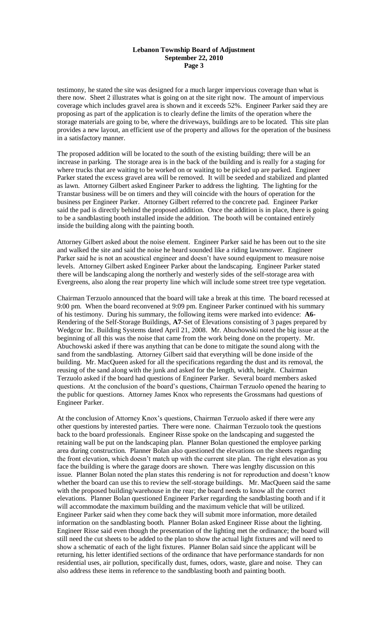## **Lebanon Township Board of Adjustment September 22, 2010 Page 3**

testimony, he stated the site was designed for a much larger impervious coverage than what is there now. Sheet 2 illustrates what is going on at the site right now. The amount of impervious coverage which includes gravel area is shown and it exceeds 52%. Engineer Parker said they are proposing as part of the application is to clearly define the limits of the operation where the storage materials are going to be, where the driveways, buildings are to be located. This site plan provides a new layout, an efficient use of the property and allows for the operation of the business in a satisfactory manner.

The proposed addition will be located to the south of the existing building; there will be an increase in parking. The storage area is in the back of the building and is really for a staging for where trucks that are waiting to be worked on or waiting to be picked up are parked. Engineer Parker stated the excess gravel area will be removed. It will be seeded and stabilized and planted as lawn. Attorney Gilbert asked Engineer Parker to address the lighting. The lighting for the Transtar business will be on timers and they will coincide with the hours of operation for the business per Engineer Parker. Attorney Gilbert referred to the concrete pad. Engineer Parker said the pad is directly behind the proposed addition. Once the addition is in place, there is going to be a sandblasting booth installed inside the addition. The booth will be contained entirely inside the building along with the painting booth.

Attorney Gilbert asked about the noise element. Engineer Parker said he has been out to the site and walked the site and said the noise he heard sounded like a riding lawnmower. Engineer Parker said he is not an acoustical engineer and doesn"t have sound equipment to measure noise levels. Attorney Gilbert asked Engineer Parker about the landscaping. Engineer Parker stated there will be landscaping along the northerly and westerly sides of the self-storage area with Evergreens, also along the rear property line which will include some street tree type vegetation.

Chairman Terzuolo announced that the board will take a break at this time. The board recessed at 9:00 pm. When the board reconvened at 9:09 pm. Engineer Parker continued with his summary of his testimony. During his summary, the following items were marked into evidence: **A6-** Rendering of the Self-Storage Buildings, **A7**-Set of Elevations consisting of 3 pages prepared by Wedgcor Inc. Building Systems dated April 21, 2008. Mr. Abuchowski noted the big issue at the beginning of all this was the noise that came from the work being done on the property. Mr. Abuchowski asked if there was anything that can be done to mitigate the sound along with the sand from the sandblasting. Attorney Gilbert said that everything will be done inside of the building. Mr. MacQueen asked for all the specifications regarding the dust and its removal, the reusing of the sand along with the junk and asked for the length, width, height. Chairman Terzuolo asked if the board had questions of Engineer Parker. Several board members asked questions. At the conclusion of the board"s questions, Chairman Terzuolo opened the hearing to the public for questions. Attorney James Knox who represents the Grossmans had questions of Engineer Parker.

At the conclusion of Attorney Knox"s questions, Chairman Terzuolo asked if there were any other questions by interested parties. There were none. Chairman Terzuolo took the questions back to the board professionals. Engineer Risse spoke on the landscaping and suggested the retaining wall be put on the landscaping plan. Planner Bolan questioned the employee parking area during construction. Planner Bolan also questioned the elevations on the sheets regarding the front elevation, which doesn"t match up with the current site plan. The right elevation as you face the building is where the garage doors are shown. There was lengthy discussion on this issue. Planner Bolan noted the plan states this rendering is not for reproduction and doesn"t know whether the board can use this to review the self-storage buildings. Mr. MacQueen said the same with the proposed building/warehouse in the rear; the board needs to know all the correct elevations. Planner Bolan questioned Engineer Parker regarding the sandblasting booth and if it will accommodate the maximum building and the maximum vehicle that will be utilized. Engineer Parker said when they come back they will submit more information, more detailed information on the sandblasting booth. Planner Bolan asked Engineer Risse about the lighting. Engineer Risse said even though the presentation of the lighting met the ordinance; the board will still need the cut sheets to be added to the plan to show the actual light fixtures and will need to show a schematic of each of the light fixtures. Planner Bolan said since the applicant will be returning, his letter identified sections of the ordinance that have performance standards for non residential uses, air pollution, specifically dust, fumes, odors, waste, glare and noise. They can also address these items in reference to the sandblasting booth and painting booth.